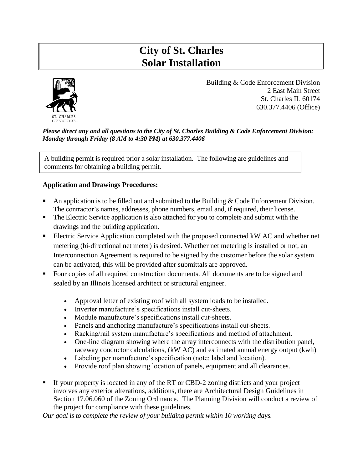# **City of St. Charles Solar Installation**



Building & Code Enforcement Division 2 East Main Street St. Charles IL 60174 630.377.4406 (Office)

## *Please direct any and all questions to the City of St. Charles Building & Code Enforcement Division: Monday through Friday (8 AM to 4:30 PM) at 630.377.4406*

A building permit is required prior a solar installation. The following are guidelines and comments for obtaining a building permit.

## **Application and Drawings Procedures:**

- An application is to be filled out and submitted to the Building  $& Code$  Enforcement Division. The contractor's names, addresses, phone numbers, email and, if required, their license.
- The Electric Service application is also attached for you to complete and submit with the drawings and the building application.
- Electric Service Application completed with the proposed connected kW AC and whether net metering (bi-directional net meter) is desired. Whether net metering is installed or not, an Interconnection Agreement is required to be signed by the customer before the solar system can be activated, this will be provided after submittals are approved.
- Four copies of all required construction documents. All documents are to be signed and sealed by an Illinois licensed architect or structural engineer.
	- Approval letter of existing roof with all system loads to be installed.
	- Inverter manufacture's specifications install cut-sheets.
	- Module manufacture's specifications install cut-sheets.
	- Panels and anchoring manufacture's specifications install cut-sheets.
	- Racking/rail system manufacture's specifications and method of attachment.
	- One-line diagram showing where the array interconnects with the distribution panel, raceway conductor calculations, (kW AC) and estimated annual energy output (kwh)
	- Labeling per manufacture's specification (note: label and location).
	- Provide roof plan showing location of panels, equipment and all clearances.
- If your property is located in any of the RT or CBD-2 zoning districts and your project involves any exterior alterations, additions, there are Architectural Design Guidelines in Section 17.06.060 of the Zoning Ordinance. The Planning Division will conduct a review of the project for compliance with these guidelines.

*Our goal is to complete the review of your building permit within 10 working days.*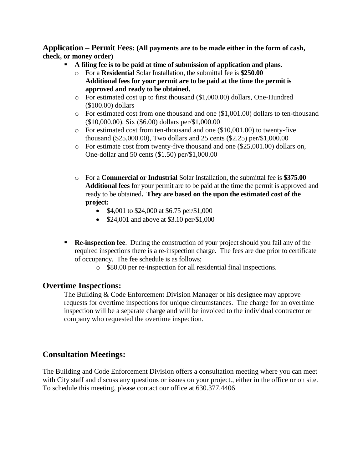**Application – Permit Fees: (All payments are to be made either in the form of cash, check, or money order)**

- **A filing fee is to be paid at time of submission of application and plans.** 
	- o For a **Residential** Solar Installation, the submittal fee is **\$250.00 Additional fees for your permit are to be paid at the time the permit is approved and ready to be obtained.**
	- o For estimated cost up to first thousand (\$1,000.00) dollars, One-Hundred (\$100.00) dollars
	- o For estimated cost from one thousand and one (\$1,001.00) dollars to ten-thousand (\$10,000.00). Six (\$6.00) dollars per/\$1,000.00
	- o For estimated cost from ten-thousand and one (\$10,001.00) to twenty-five thousand (\$25,000.00), Two dollars and 25 cents (\$2.25) per/\$1,000.00
	- o For estimate cost from twenty-five thousand and one (\$25,001.00) dollars on, One-dollar and 50 cents (\$1.50) per/\$1,000.00
	- o For a **Commercial or Industrial** Solar Installation, the submittal fee is **\$375.00 Additional fees** for your permit are to be paid at the time the permit is approved and ready to be obtained**. They are based on the upon the estimated cost of the project:**
		- \$4,001 to \$24,000 at \$6.75 per/\$1,000
		- \$24,001 and above at \$3.10 per/\$1,000
- **Re-inspection fee**. During the construction of your project should you fail any of the required inspections there is a re-inspection charge. The fees are due prior to certificate of occupancy. The fee schedule is as follows;
	- o \$80.00 per re-inspection for all residential final inspections.

## **Overtime Inspections:**

The Building & Code Enforcement Division Manager or his designee may approve requests for overtime inspections for unique circumstances. The charge for an overtime inspection will be a separate charge and will be invoiced to the individual contractor or company who requested the overtime inspection.

## **Consultation Meetings:**

The Building and Code Enforcement Division offers a consultation meeting where you can meet with City staff and discuss any questions or issues on your project., either in the office or on site. To schedule this meeting, please contact our office at 630.377.4406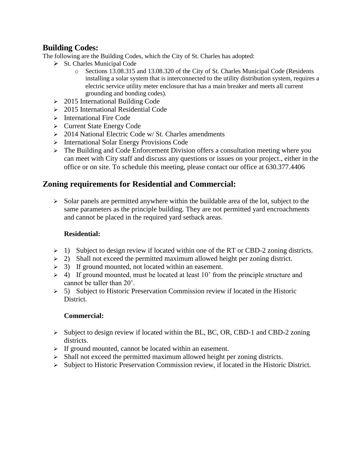## **Building Codes:**

The following are the Building Codes, which the City of St. Charles has adopted:

- ➢ St. Charles Municipal Code
	- o Sections 13.08.315 and 13.08.320 of the City of St. Charles Municipal Code (Residents installing a solar system that is interconnected to the utility distribution system, requires a electric service utility meter enclosure that has a main breaker and meets all current grounding and bonding codes).
- ➢ 2015 International Building Code
- ➢ 2015 International Residential Code
- ➢ International Fire Code
- ➢ Current State Energy Code
- $\geq 2014$  National Electric Code w/ St. Charles amendments
- ➢ International Solar Energy Provisions Code
- ➢ The Building and Code Enforcement Division offers a consultation meeting where you can meet with City staff and discuss any questions or issues on your project., either in the office or on site. To schedule this meeting, please contact our office at 630.377.4406

## **Zoning requirements for Residential and Commercial:**

 $\triangleright$  Solar panels are permitted anywhere within the buildable area of the lot, subject to the same parameters as the principle building. They are not permitted yard encroachments and cannot be placed in the required yard setback areas.

## **Residential:**

- $> 1$ ) Subject to design review if located within one of the RT or CBD-2 zoning districts.
- $\geq$  2) Shall not exceed the permitted maximum allowed height per zoning district.
- ➢ 3) If ground mounted, not located within an easement.
- $\geq 4$ ) If ground mounted, must be located at least 10' from the principle structure and cannot be taller than 20'.
- $> 5$ ) Subject to Historic Preservation Commission review if located in the Historic District.

## **Commercial:**

- ➢ Subject to design review if located within the BL, BC, OR, CBD-1 and CBD-2 zoning districts.
- ➢ If ground mounted, cannot be located within an easement.
- ➢ Shall not exceed the permitted maximum allowed height per zoning districts.
- ➢ Subject to Historic Preservation Commission review, if located in the Historic District.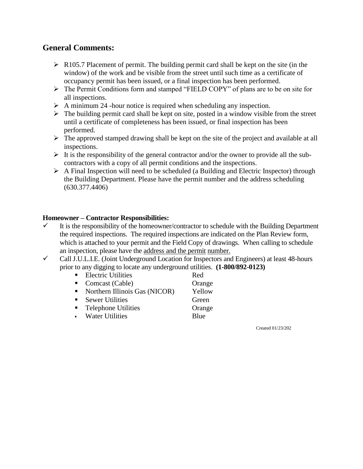## **General Comments:**

- $\triangleright$  R105.7 Placement of permit. The building permit card shall be kept on the site (in the window) of the work and be visible from the street until such time as a certificate of occupancy permit has been issued, or a final inspection has been performed.
- ➢ The Permit Conditions form and stamped "FIELD COPY" of plans are to be on site for all inspections.
- $\triangleright$  A minimum 24 -hour notice is required when scheduling any inspection.
- $\triangleright$  The building permit card shall be kept on site, posted in a window visible from the street until a certificate of completeness has been issued, or final inspection has been performed.
- $\triangleright$  The approved stamped drawing shall be kept on the site of the project and available at all inspections.
- $\triangleright$  It is the responsibility of the general contractor and/or the owner to provide all the subcontractors with a copy of all permit conditions and the inspections.
- $\triangleright$  A Final Inspection will need to be scheduled (a Building and Electric Inspector) through the Building Department. Please have the permit number and the address scheduling (630.377.4406)

## **Homeowner – Contractor Responsibilities:**

- $\checkmark$  It is the responsibility of the homeowner/contractor to schedule with the Building Department the required inspections. The required inspections are indicated on the Plan Review form, which is attached to your permit and the Field Copy of drawings. When calling to schedule an inspection, please have the address and the permit number.
- $\checkmark$  Call J.U.L.I.E. (Joint Underground Location for Inspectors and Engineers) at least 48-hours prior to any digging to locate any underground utilities. **(1-800/892-0123)**
	- Electric Utilities Red
	- Comcast (Cable) Orange
	- Northern Illinois Gas (NICOR) Yellow
	- Sewer Utilities Green
	- Telephone Utilities Orange
	- Water Utilities Blue

Created 01/23/202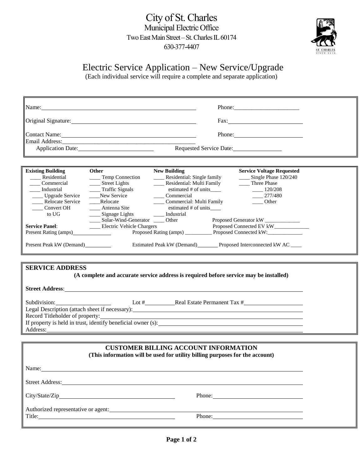

## Electric Service Application – New Service/Upgrade

(Each individual service will require a complete and separate application)

|                                                                                                                                                                                                                                                                                                                                                                                                                                                                                                                                                                                                                                                                                                                                                                                                                                                                                                                                                                                                                                                                                                                                                                                                                                                                             | Name: Name and the second contract of the second contract of the second contract of the second contract of the second contract of the second contract of the second contract of the second contract of the second contract of           |  |  |
|-----------------------------------------------------------------------------------------------------------------------------------------------------------------------------------------------------------------------------------------------------------------------------------------------------------------------------------------------------------------------------------------------------------------------------------------------------------------------------------------------------------------------------------------------------------------------------------------------------------------------------------------------------------------------------------------------------------------------------------------------------------------------------------------------------------------------------------------------------------------------------------------------------------------------------------------------------------------------------------------------------------------------------------------------------------------------------------------------------------------------------------------------------------------------------------------------------------------------------------------------------------------------------|-----------------------------------------------------------------------------------------------------------------------------------------------------------------------------------------------------------------------------------------|--|--|
|                                                                                                                                                                                                                                                                                                                                                                                                                                                                                                                                                                                                                                                                                                                                                                                                                                                                                                                                                                                                                                                                                                                                                                                                                                                                             |                                                                                                                                                                                                                                         |  |  |
|                                                                                                                                                                                                                                                                                                                                                                                                                                                                                                                                                                                                                                                                                                                                                                                                                                                                                                                                                                                                                                                                                                                                                                                                                                                                             | Contact Name: Name and Solid Contact Name and Solid Contract Name and Solid Contract Name and Solid Contract On the Solid Contract On the Solid Contract On the Solid Contract On the Solid Contract On the Solid Contract On<br>Phone: |  |  |
|                                                                                                                                                                                                                                                                                                                                                                                                                                                                                                                                                                                                                                                                                                                                                                                                                                                                                                                                                                                                                                                                                                                                                                                                                                                                             | Requested Service Date:<br>Application Date: 1988                                                                                                                                                                                       |  |  |
| <b>Existing Building</b><br>Other<br><b>New Building</b><br><b>Service Voltage Requested</b><br>Residential<br>____ Residential: Single family<br>_____ Temp Connection<br>___ Single Phase 120/240<br>Commercial<br>______ Street Lights<br>$\frac{1}{\sqrt{1-\frac{1}{2}}\sqrt{1-\frac{1}{2}}\sqrt{1-\frac{1}{2}}\sqrt{1-\frac{1}{2}}\sqrt{1-\frac{1}{2}}\sqrt{1-\frac{1}{2}}\sqrt{1-\frac{1}{2}}\sqrt{1-\frac{1}{2}}\sqrt{1-\frac{1}{2}}\sqrt{1-\frac{1}{2}}\sqrt{1-\frac{1}{2}}\sqrt{1-\frac{1}{2}}\sqrt{1-\frac{1}{2}}\sqrt{1-\frac{1}{2}}\sqrt{1-\frac{1}{2}}\sqrt{1-\frac{1}{2}}\sqrt{1-\frac{1}{2}}\sqrt{1-\frac{1}{2}}\sqrt{1-\frac{1}{2}}\sqrt{1-\frac$<br><b>Industrial</b><br>estimated # of units______<br>$\frac{120}{208}$<br>_____ Commercial<br>277/480<br>____ Upgrade Service<br>New Service<br>___ Relocate Service<br>____Relocate<br>Commercial: Multi Family<br>Other<br>___ Convert OH<br>_____ Antenna Site<br>estimated # of units<br>____ Signage Lights _____ Industrial<br>to UG<br>______ Solar-Wind-Generator ______ Other Proposed Generator kW ____________<br><b>Service Panel:</b><br>____ Electric Vehicle Chargers<br>Present Rating (amps)<br>Present Peak kW (Demand)<br>Estimated Peak kW (Demand)<br>Proposed Interconnected kW AC |                                                                                                                                                                                                                                         |  |  |
| <b>SERVICE ADDRESS</b>                                                                                                                                                                                                                                                                                                                                                                                                                                                                                                                                                                                                                                                                                                                                                                                                                                                                                                                                                                                                                                                                                                                                                                                                                                                      | (A complete and accurate service address is required before service may be installed)                                                                                                                                                   |  |  |
|                                                                                                                                                                                                                                                                                                                                                                                                                                                                                                                                                                                                                                                                                                                                                                                                                                                                                                                                                                                                                                                                                                                                                                                                                                                                             |                                                                                                                                                                                                                                         |  |  |
|                                                                                                                                                                                                                                                                                                                                                                                                                                                                                                                                                                                                                                                                                                                                                                                                                                                                                                                                                                                                                                                                                                                                                                                                                                                                             | Subdivision: Lot # Real Estate Permanent Tax #<br>Legal Description (attach sheet if necessary): __________________________________                                                                                                     |  |  |
| Address:                                                                                                                                                                                                                                                                                                                                                                                                                                                                                                                                                                                                                                                                                                                                                                                                                                                                                                                                                                                                                                                                                                                                                                                                                                                                    |                                                                                                                                                                                                                                         |  |  |

| <b>CUSTOMER BILLING ACCOUNT INFORMATION</b><br>(This information will be used for utility billing purposes for the account)                                                                                                    |                             |  |
|--------------------------------------------------------------------------------------------------------------------------------------------------------------------------------------------------------------------------------|-----------------------------|--|
| Name: Name and the second contract of the second contract of the second contract of the second contract of the second contract of the second contract of the second contract of the second contract of the second contract of  |                             |  |
| Street Address: No. 2016. The Street Address: No. 2016. The Street Address: No. 2016. The Street Address: No. 2017. The Street Address: No. 2017. The Street Address: No. 2017. The Street Address: No. 2017. The Street Addre |                             |  |
|                                                                                                                                                                                                                                | Phone: $\frac{1}{2}$ Phone: |  |
|                                                                                                                                                                                                                                |                             |  |
| Title: Title:                                                                                                                                                                                                                  | Phone:                      |  |
|                                                                                                                                                                                                                                |                             |  |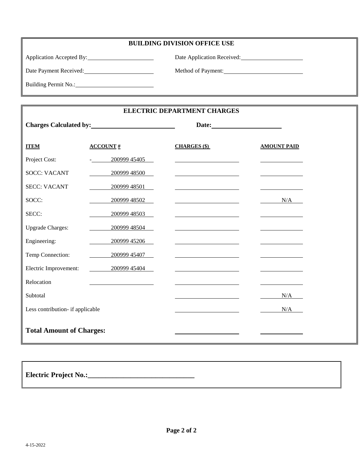Application Accepted By: Date Application Received:

Date Payment Received: Method of Payment:

Building Permit No.:

| <b>ELECTRIC DEPARTMENT CHARGES</b> |                    |                                                   |                                   |  |
|------------------------------------|--------------------|---------------------------------------------------|-----------------------------------|--|
|                                    |                    |                                                   |                                   |  |
| <b>ITEM</b>                        | $\angle$ ACCOUNT # | <b>CHARGES</b> (\$)                               | <b>AMOUNT PAID</b>                |  |
| Project Cost:                      | $-20099945405$     |                                                   | and the state of the state of the |  |
| <b>SOCC: VACANT</b>                | 200999 48500       |                                                   |                                   |  |
| <b>SECC: VACANT</b>                | 200999 48501       |                                                   |                                   |  |
| SOCC:                              | 200999 48502       |                                                   | N/A                               |  |
| SECC:                              | 200999 48503       | <u> 1980 - Johann Barnett, fransk politiker (</u> |                                   |  |
| <b>Upgrade Charges:</b>            | 200999 48504       |                                                   |                                   |  |
| Engineering:                       | 200999 45206       |                                                   |                                   |  |
| Temp Connection:                   | 200999 45407       |                                                   |                                   |  |
| Electric Improvement:              | $-20099945404$     |                                                   |                                   |  |
| Relocation                         |                    |                                                   |                                   |  |
| Subtotal                           |                    |                                                   | N/A                               |  |
| Less contribution- if applicable   |                    |                                                   | N/A                               |  |
| <b>Total Amount of Charges:</b>    |                    |                                                   |                                   |  |

## **Electric Project No.:\_\_\_\_\_\_\_\_\_\_\_\_\_\_\_\_\_\_\_\_\_\_\_\_\_\_\_\_\_\_**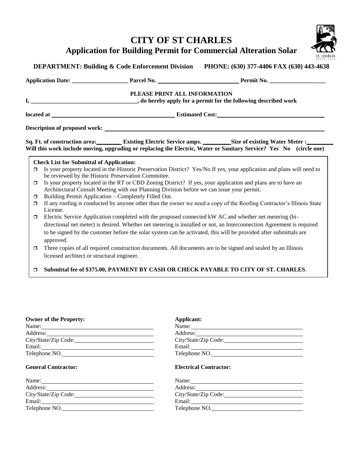**CITY OF ST CHARLES**



**Application for Building Permit for Commercial Alteration Solar**

|                  | PLEASE PRINT ALL INFORMATION                                                                                                                                                                                                                                                                                                                                      |  |  |
|------------------|-------------------------------------------------------------------------------------------------------------------------------------------------------------------------------------------------------------------------------------------------------------------------------------------------------------------------------------------------------------------|--|--|
|                  |                                                                                                                                                                                                                                                                                                                                                                   |  |  |
|                  |                                                                                                                                                                                                                                                                                                                                                                   |  |  |
|                  | Sq. Ft. of construction area: Existing Electric Service amps. Size of existing Water Meter :<br>Will this work include moving, upgrading or replacing the Electric, Water or Sanitary Service? Yes No (circle one)                                                                                                                                                |  |  |
| $\Box$           | <b>Check List for Submittal of Application:</b><br>Is your property located in the Historic Preservation District? Yes/No If yes, your application and plans will need to<br>be reviewed by the Historic Preservation Committee.                                                                                                                                  |  |  |
| $\Box$<br>$\Box$ | Is your property located in the RT or CBD Zoning District? If yes, your application and plans are to have an<br>Architectural Consult Meeting with our Planning Division before we can issue your permit.<br>Building Permit Application – Completely Filled Out.                                                                                                 |  |  |
| $\Box$           | If any roofing is conducted by anyone other than the owner we need a copy of the Roofing Contractor's Illinois State<br>License.                                                                                                                                                                                                                                  |  |  |
| $\Box$           | Electric Service Application completed with the proposed connected kW AC and whether net metering (bi-<br>directional net meter) is desired. Whether net metering is installed or not, an Interconnection Agreement is required<br>to be signed by the customer before the solar system can be activated, this will be provided after submittals are<br>approved. |  |  |
| $\Box$           | Three copies of all required construction documents. All documents are to be signed and sealed by an Illinois<br>licensed architect or structural engineer.                                                                                                                                                                                                       |  |  |
|                  |                                                                                                                                                                                                                                                                                                                                                                   |  |  |

| <b>Owner of the Property:</b> | Applicant:                    |
|-------------------------------|-------------------------------|
| Name:                         | Name:                         |
|                               |                               |
|                               | City/State/Zip Code:          |
|                               |                               |
| Telephone NO.                 | Telephone NO.                 |
| <b>General Contractor:</b>    | <b>Electrical Contractor:</b> |
|                               | Name:                         |
|                               |                               |
| City/State/Zip Code:          | City/State/Zip Code:          |
|                               |                               |
| Telephone NO.                 | Telephone NO.                 |